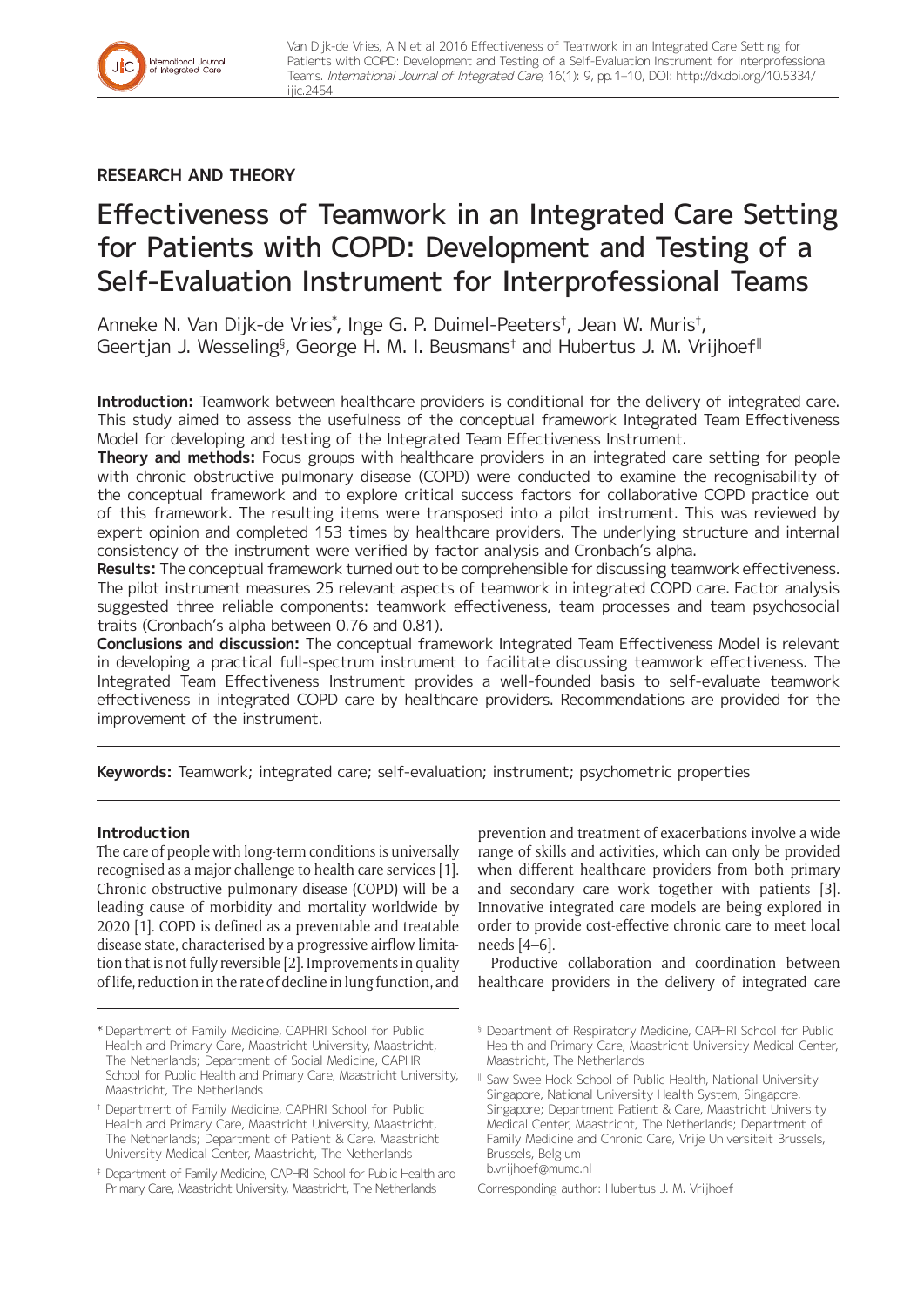## **RESEARCH AND THEORY**

# Effectiveness of Teamwork in an Integrated Care Setting for Patients with COPD: Development and Testing of a Self-Evaluation Instrument for Interprofessional Teams

Anneke N. Van Dijk-de Vries\*, Inge G. P. Duimel-Peeters†, Jean W. Muris‡, Geertjan J. Wesseling§, George H. M. I. Beusmans† and Hubertus J. M. Vrijhoef<sup>∥</sup>

**Introduction:** Teamwork between healthcare providers is conditional for the delivery of integrated care. This study aimed to assess the usefulness of the conceptual framework Integrated Team Effectiveness Model for developing and testing of the Integrated Team Effectiveness Instrument.

**Theory and methods:** Focus groups with healthcare providers in an integrated care setting for people with chronic obstructive pulmonary disease (COPD) were conducted to examine the recognisability of the conceptual framework and to explore critical success factors for collaborative COPD practice out of this framework. The resulting items were transposed into a pilot instrument. This was reviewed by expert opinion and completed 153 times by healthcare providers. The underlying structure and internal consistency of the instrument were verified by factor analysis and Cronbach's alpha.

**Results:** The conceptual framework turned out to be comprehensible for discussing teamwork effectiveness. The pilot instrument measures 25 relevant aspects of teamwork in integrated COPD care. Factor analysis suggested three reliable components: teamwork effectiveness, team processes and team psychosocial traits (Cronbach's alpha between 0.76 and 0.81).

**Conclusions and discussion:** The conceptual framework Integrated Team Effectiveness Model is relevant in developing a practical full-spectrum instrument to facilitate discussing teamwork effectiveness. The Integrated Team Effectiveness Instrument provides a well-founded basis to self-evaluate teamwork effectiveness in integrated COPD care by healthcare providers. Recommendations are provided for the improvement of the instrument.

**Keywords:** Teamwork; integrated care; self-evaluation; instrument; psychometric properties

## **Introduction**

The care of people with long-term conditions is universally recognised as a major challenge to health care services [1]. Chronic obstructive pulmonary disease (COPD) will be a leading cause of morbidity and mortality worldwide by 2020 [1]. COPD is defined as a preventable and treatable disease state, characterised by a progressive airflow limitation that is not fully reversible [2]. Improvements in quality of life, reduction in the rate of decline in lung function, and prevention and treatment of exacerbations involve a wide range of skills and activities, which can only be provided when different healthcare providers from both primary and secondary care work together with patients [3]. Innovative integrated care models are being explored in order to provide cost-effective chronic care to meet local needs [4–6].

Productive collaboration and coordination between healthcare providers in the delivery of integrated care



<sup>\*</sup> Department of Family Medicine, CAPHRI School for Public Health and Primary Care, Maastricht University, Maastricht, The Netherlands; Department of Social Medicine, CAPHRI School for Public Health and Primary Care, Maastricht University, Maastricht, The Netherlands

<sup>†</sup> Department of Family Medicine, CAPHRI School for Public Health and Primary Care, Maastricht University, Maastricht, The Netherlands; Department of Patient & Care, Maastricht University Medical Center, Maastricht, The Netherlands

<sup>‡</sup> Department of Family Medicine, CAPHRI School for Public Health and Primary Care, Maastricht University, Maastricht, The Netherlands

<sup>§</sup> Department of Respiratory Medicine, CAPHRI School for Public Health and Primary Care, Maastricht University Medical Center, Maastricht, The Netherlands

<sup>ǁ</sup> Saw Swee Hock School of Public Health, National University Singapore, National University Health System, Singapore, Singapore; Department Patient & Care, Maastricht University Medical Center, Maastricht, The Netherlands; Department of Family Medicine and Chronic Care, Vrije Universiteit Brussels, Brussels, Belgium [b.vrijhoef@mumc.nl](mailto:b.vrijhoef@mumc.nl)

Corresponding author: Hubertus J. M. Vrijhoef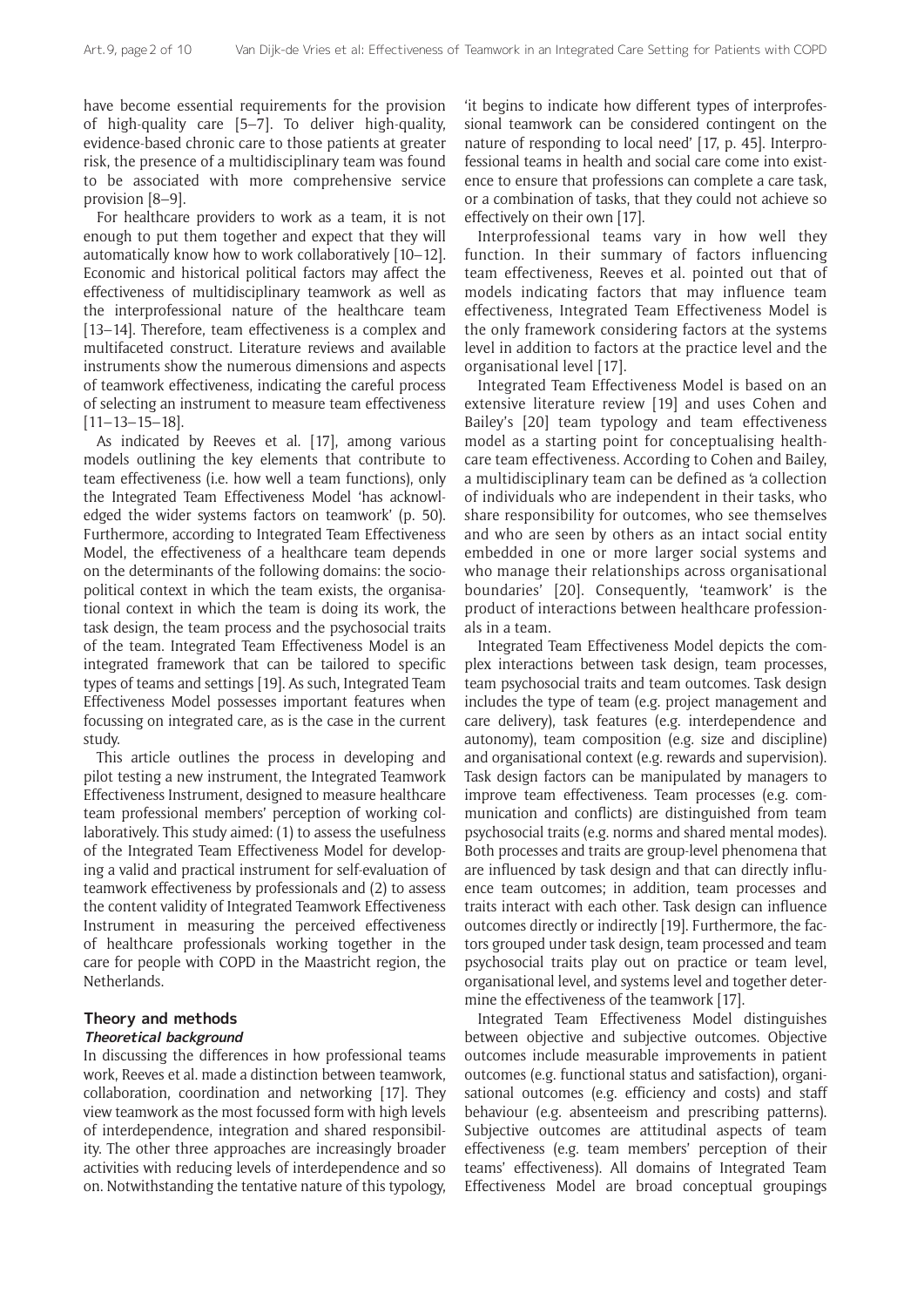have become essential requirements for the provision of high-quality care [5–7]. To deliver high-quality, evidence-based chronic care to those patients at greater risk, the presence of a multidisciplinary team was found to be associated with more comprehensive service provision [8–9].

For healthcare providers to work as a team, it is not enough to put them together and expect that they will automatically know how to work collaboratively [10–12]. Economic and historical political factors may affect the effectiveness of multidisciplinary teamwork as well as the interprofessional nature of the healthcare team [13–14]. Therefore, team effectiveness is a complex and multifaceted construct. Literature reviews and available instruments show the numerous dimensions and aspects of teamwork effectiveness, indicating the careful process of selecting an instrument to measure team effectiveness [11–13–15–18].

As indicated by Reeves et al. [17], among various models outlining the key elements that contribute to team effectiveness (i.e. how well a team functions), only the Integrated Team Effectiveness Model 'has acknowledged the wider systems factors on teamwork' (p. 50). Furthermore, according to Integrated Team Effectiveness Model, the effectiveness of a healthcare team depends on the determinants of the following domains: the sociopolitical context in which the team exists, the organisational context in which the team is doing its work, the task design, the team process and the psychosocial traits of the team. Integrated Team Effectiveness Model is an integrated framework that can be tailored to specific types of teams and settings [19]. As such, Integrated Team Effectiveness Model possesses important features when focussing on integrated care, as is the case in the current study.

This article outlines the process in developing and pilot testing a new instrument, the Integrated Teamwork Effectiveness Instrument, designed to measure healthcare team professional members' perception of working collaboratively. This study aimed: (1) to assess the usefulness of the Integrated Team Effectiveness Model for developing a valid and practical instrument for self-evaluation of teamwork effectiveness by professionals and (2) to assess the content validity of Integrated Teamwork Effectiveness Instrument in measuring the perceived effectiveness of healthcare professionals working together in the care for people with COPD in the Maastricht region, the Netherlands.

## **Theory and methods**

### **Theoretical background**

In discussing the differences in how professional teams work, Reeves et al. made a distinction between teamwork, collaboration, coordination and networking [17]. They view teamwork as the most focussed form with high levels of interdependence, integration and shared responsibility. The other three approaches are increasingly broader activities with reducing levels of interdependence and so on. Notwithstanding the tentative nature of this typology,

'it begins to indicate how different types of interprofessional teamwork can be considered contingent on the nature of responding to local need' [17, p. 45]. Interprofessional teams in health and social care come into existence to ensure that professions can complete a care task, or a combination of tasks, that they could not achieve so effectively on their own [17].

Interprofessional teams vary in how well they function. In their summary of factors influencing team effectiveness, Reeves et al. pointed out that of models indicating factors that may influence team effectiveness, Integrated Team Effectiveness Model is the only framework considering factors at the systems level in addition to factors at the practice level and the organisational level [17].

Integrated Team Effectiveness Model is based on an extensive literature review [19] and uses Cohen and Bailey's [20] team typology and team effectiveness model as a starting point for conceptualising healthcare team effectiveness. According to Cohen and Bailey, a multidisciplinary team can be defined as 'a collection of individuals who are independent in their tasks, who share responsibility for outcomes, who see themselves and who are seen by others as an intact social entity embedded in one or more larger social systems and who manage their relationships across organisational boundaries' [20]. Consequently, 'teamwork' is the product of interactions between healthcare professionals in a team.

Integrated Team Effectiveness Model depicts the complex interactions between task design, team processes, team psychosocial traits and team outcomes. Task design includes the type of team (e.g. project management and care delivery), task features (e.g. interdependence and autonomy), team composition (e.g. size and discipline) and organisational context (e.g. rewards and supervision). Task design factors can be manipulated by managers to improve team effectiveness. Team processes (e.g. communication and conflicts) are distinguished from team psychosocial traits (e.g. norms and shared mental modes). Both processes and traits are group-level phenomena that are influenced by task design and that can directly influence team outcomes; in addition, team processes and traits interact with each other. Task design can influence outcomes directly or indirectly [19]. Furthermore, the factors grouped under task design, team processed and team psychosocial traits play out on practice or team level, organisational level, and systems level and together determine the effectiveness of the teamwork [17].

Integrated Team Effectiveness Model distinguishes between objective and subjective outcomes. Objective outcomes include measurable improvements in patient outcomes (e.g. functional status and satisfaction), organisational outcomes (e.g. efficiency and costs) and staff behaviour (e.g. absenteeism and prescribing patterns). Subjective outcomes are attitudinal aspects of team effectiveness (e.g. team members' perception of their teams' effectiveness). All domains of Integrated Team Effectiveness Model are broad conceptual groupings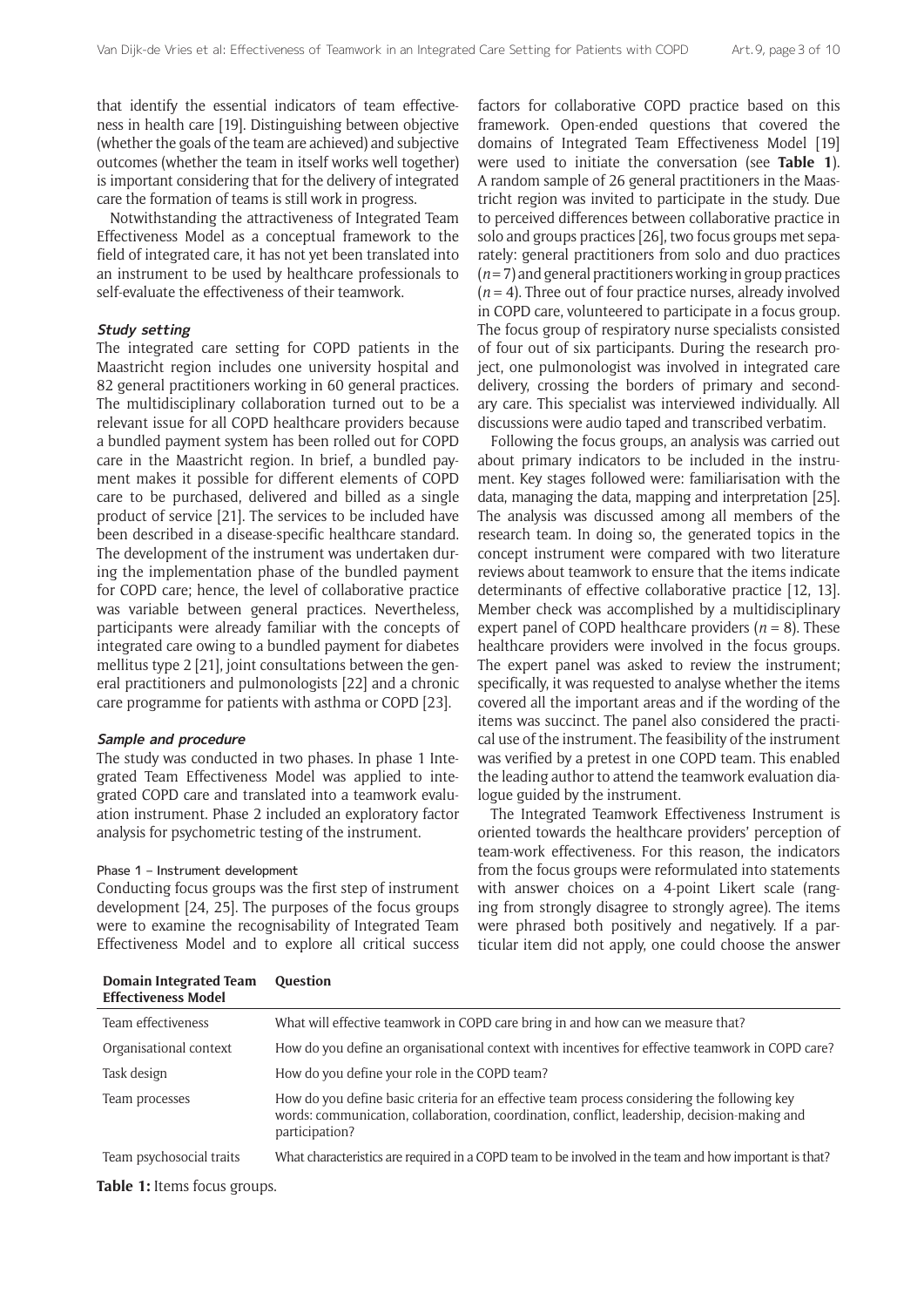that identify the essential indicators of team effectiveness in health care [19]. Distinguishing between objective (whether the goals of the team are achieved) and subjective outcomes (whether the team in itself works well together) is important considering that for the delivery of integrated care the formation of teams is still work in progress.

Notwithstanding the attractiveness of Integrated Team Effectiveness Model as a conceptual framework to the field of integrated care, it has not yet been translated into an instrument to be used by healthcare professionals to self-evaluate the effectiveness of their teamwork.

## **Study setting**

The integrated care setting for COPD patients in the Maastricht region includes one university hospital and 82 general practitioners working in 60 general practices. The multidisciplinary collaboration turned out to be a relevant issue for all COPD healthcare providers because a bundled payment system has been rolled out for COPD care in the Maastricht region. In brief, a bundled payment makes it possible for different elements of COPD care to be purchased, delivered and billed as a single product of service [21]. The services to be included have been described in a disease-specific healthcare standard. The development of the instrument was undertaken during the implementation phase of the bundled payment for COPD care; hence, the level of collaborative practice was variable between general practices. Nevertheless, participants were already familiar with the concepts of integrated care owing to a bundled payment for diabetes mellitus type 2 [21], joint consultations between the general practitioners and pulmonologists [22] and a chronic care programme for patients with asthma or COPD [23].

### **Sample and procedure**

The study was conducted in two phases. In phase 1 Integrated Team Effectiveness Model was applied to integrated COPD care and translated into a teamwork evaluation instrument. Phase 2 included an exploratory factor analysis for psychometric testing of the instrument.

#### Phase 1 – Instrument development

**Domain Integrated Team** 

Conducting focus groups was the first step of instrument development [24, 25]. The purposes of the focus groups were to examine the recognisability of Integrated Team Effectiveness Model and to explore all critical success

**Question**

factors for collaborative COPD practice based on this framework. Open-ended questions that covered the domains of Integrated Team Effectiveness Model [19] were used to initiate the conversation (see **Table 1**). A random sample of 26 general practitioners in the Maastricht region was invited to participate in the study. Due to perceived differences between collaborative practice in solo and groups practices [26], two focus groups met separately: general practitioners from solo and duo practices (*n* = 7) and general practitioners working in group practices (*n* = 4). Three out of four practice nurses, already involved in COPD care, volunteered to participate in a focus group. The focus group of respiratory nurse specialists consisted of four out of six participants. During the research project, one pulmonologist was involved in integrated care delivery, crossing the borders of primary and secondary care. This specialist was interviewed individually. All discussions were audio taped and transcribed verbatim.

Following the focus groups, an analysis was carried out about primary indicators to be included in the instrument. Key stages followed were: familiarisation with the data, managing the data, mapping and interpretation [25]. The analysis was discussed among all members of the research team. In doing so, the generated topics in the concept instrument were compared with two literature reviews about teamwork to ensure that the items indicate determinants of effective collaborative practice [12, 13]. Member check was accomplished by a multidisciplinary expert panel of COPD healthcare providers  $(n = 8)$ . These healthcare providers were involved in the focus groups. The expert panel was asked to review the instrument; specifically, it was requested to analyse whether the items covered all the important areas and if the wording of the items was succinct. The panel also considered the practical use of the instrument. The feasibility of the instrument was verified by a pretest in one COPD team. This enabled the leading author to attend the teamwork evaluation dialogue guided by the instrument.

The Integrated Teamwork Effectiveness Instrument is oriented towards the healthcare providers' perception of team-work effectiveness. For this reason, the indicators from the focus groups were reformulated into statements with answer choices on a 4-point Likert scale (ranging from strongly disagree to strongly agree). The items were phrased both positively and negatively. If a particular item did not apply, one could choose the answer

| <b>Effectiveness Model</b> |                                                                                                                                                                                                                |
|----------------------------|----------------------------------------------------------------------------------------------------------------------------------------------------------------------------------------------------------------|
| Team effectiveness         | What will effective teamwork in COPD care bring in and how can we measure that?                                                                                                                                |
| Organisational context     | How do you define an organisational context with incentives for effective teamwork in COPD care?                                                                                                               |
| Task design                | How do you define your role in the COPD team?                                                                                                                                                                  |
| Team processes             | How do you define basic criteria for an effective team process considering the following key<br>words: communication, collaboration, coordination, conflict, leadership, decision-making and<br>participation? |
| Team psychosocial traits   | What characteristics are required in a COPD team to be involved in the team and how important is that?                                                                                                         |

**Table 1:** Items focus groups.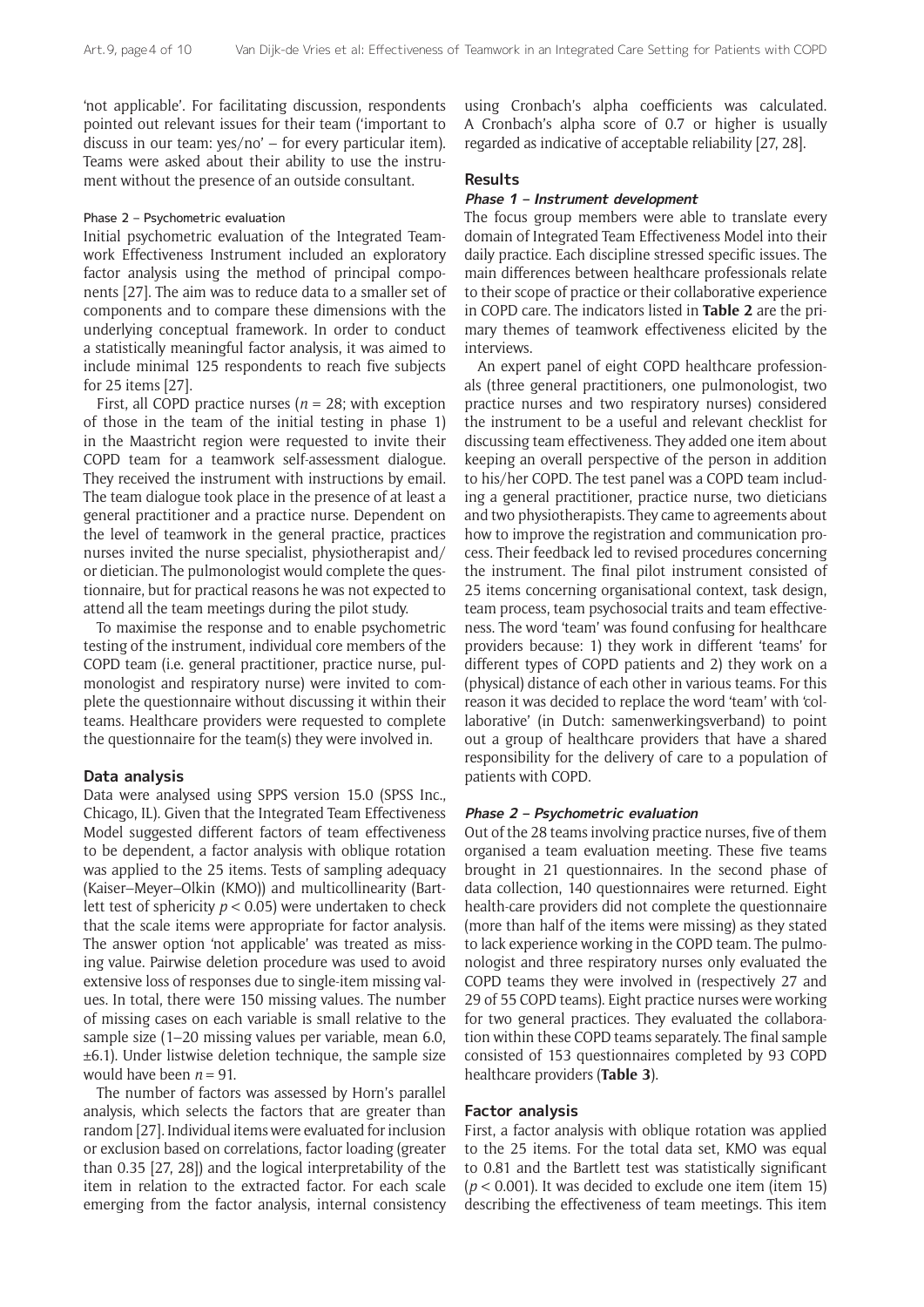'not applicable'. For facilitating discussion, respondents pointed out relevant issues for their team ('important to discuss in our team: yes/no' – for every particular item). Teams were asked about their ability to use the instrument without the presence of an outside consultant.

#### Phase 2 – Psychometric evaluation

Initial psychometric evaluation of the Integrated Teamwork Effectiveness Instrument included an exploratory factor analysis using the method of principal components [27]. The aim was to reduce data to a smaller set of components and to compare these dimensions with the underlying conceptual framework. In order to conduct a statistically meaningful factor analysis, it was aimed to include minimal 125 respondents to reach five subjects for 25 items [27].

First, all COPD practice nurses ( $n = 28$ ; with exception of those in the team of the initial testing in phase 1) in the Maastricht region were requested to invite their COPD team for a teamwork self-assessment dialogue. They received the instrument with instructions by email. The team dialogue took place in the presence of at least a general practitioner and a practice nurse. Dependent on the level of teamwork in the general practice, practices nurses invited the nurse specialist, physiotherapist and/ or dietician. The pulmonologist would complete the questionnaire, but for practical reasons he was not expected to attend all the team meetings during the pilot study.

To maximise the response and to enable psychometric testing of the instrument, individual core members of the COPD team (i.e. general practitioner, practice nurse, pulmonologist and respiratory nurse) were invited to complete the questionnaire without discussing it within their teams. Healthcare providers were requested to complete the questionnaire for the team(s) they were involved in.

## **Data analysis**

Data were analysed using SPPS version 15.0 (SPSS Inc., Chicago, IL). Given that the Integrated Team Effectiveness Model suggested different factors of team effectiveness to be dependent, a factor analysis with oblique rotation was applied to the 25 items. Tests of sampling adequacy (Kaiser–Meyer–Olkin (KMO)) and multicollinearity (Bartlett test of sphericity *p* < 0.05) were undertaken to check that the scale items were appropriate for factor analysis. The answer option 'not applicable' was treated as missing value. Pairwise deletion procedure was used to avoid extensive loss of responses due to single-item missing values. In total, there were 150 missing values. The number of missing cases on each variable is small relative to the sample size (1–20 missing values per variable, mean 6.0, ±6.1). Under listwise deletion technique, the sample size would have been  $n = 91$ .

The number of factors was assessed by Horn's parallel analysis, which selects the factors that are greater than random [27]. Individual items were evaluated for inclusion or exclusion based on correlations, factor loading (greater than 0.35 [27, 28]) and the logical interpretability of the item in relation to the extracted factor. For each scale emerging from the factor analysis, internal consistency

using Cronbach's alpha coefficients was calculated. A Cronbach's alpha score of 0.7 or higher is usually regarded as indicative of acceptable reliability [27, 28].

## **Results**

## **Phase 1 – Instrument development**

The focus group members were able to translate every domain of Integrated Team Effectiveness Model into their daily practice. Each discipline stressed specific issues. The main differences between healthcare professionals relate to their scope of practice or their collaborative experience in COPD care. The indicators listed in **Table 2** are the primary themes of teamwork effectiveness elicited by the interviews.

An expert panel of eight COPD healthcare professionals (three general practitioners, one pulmonologist, two practice nurses and two respiratory nurses) considered the instrument to be a useful and relevant checklist for discussing team effectiveness. They added one item about keeping an overall perspective of the person in addition to his/her COPD. The test panel was a COPD team including a general practitioner, practice nurse, two dieticians and two physiotherapists. They came to agreements about how to improve the registration and communication process. Their feedback led to revised procedures concerning the instrument. The final pilot instrument consisted of 25 items concerning organisational context, task design, team process, team psychosocial traits and team effectiveness. The word 'team' was found confusing for healthcare providers because: 1) they work in different 'teams' for different types of COPD patients and 2) they work on a (physical) distance of each other in various teams. For this reason it was decided to replace the word 'team' with 'collaborative' (in Dutch: samenwerkingsverband) to point out a group of healthcare providers that have a shared responsibility for the delivery of care to a population of patients with COPD.

## **Phase 2 – Psychometric evaluation**

Out of the 28 teams involving practice nurses, five of them organised a team evaluation meeting. These five teams brought in 21 questionnaires. In the second phase of data collection, 140 questionnaires were returned. Eight health-care providers did not complete the questionnaire (more than half of the items were missing) as they stated to lack experience working in the COPD team. The pulmonologist and three respiratory nurses only evaluated the COPD teams they were involved in (respectively 27 and 29 of 55 COPD teams). Eight practice nurses were working for two general practices. They evaluated the collaboration within these COPD teams separately. The final sample consisted of 153 questionnaires completed by 93 COPD healthcare providers (**Table 3**).

## **Factor analysis**

First, a factor analysis with oblique rotation was applied to the 25 items. For the total data set, KMO was equal to 0.81 and the Bartlett test was statistically significant (*p* < 0.001). It was decided to exclude one item (item 15) describing the effectiveness of team meetings. This item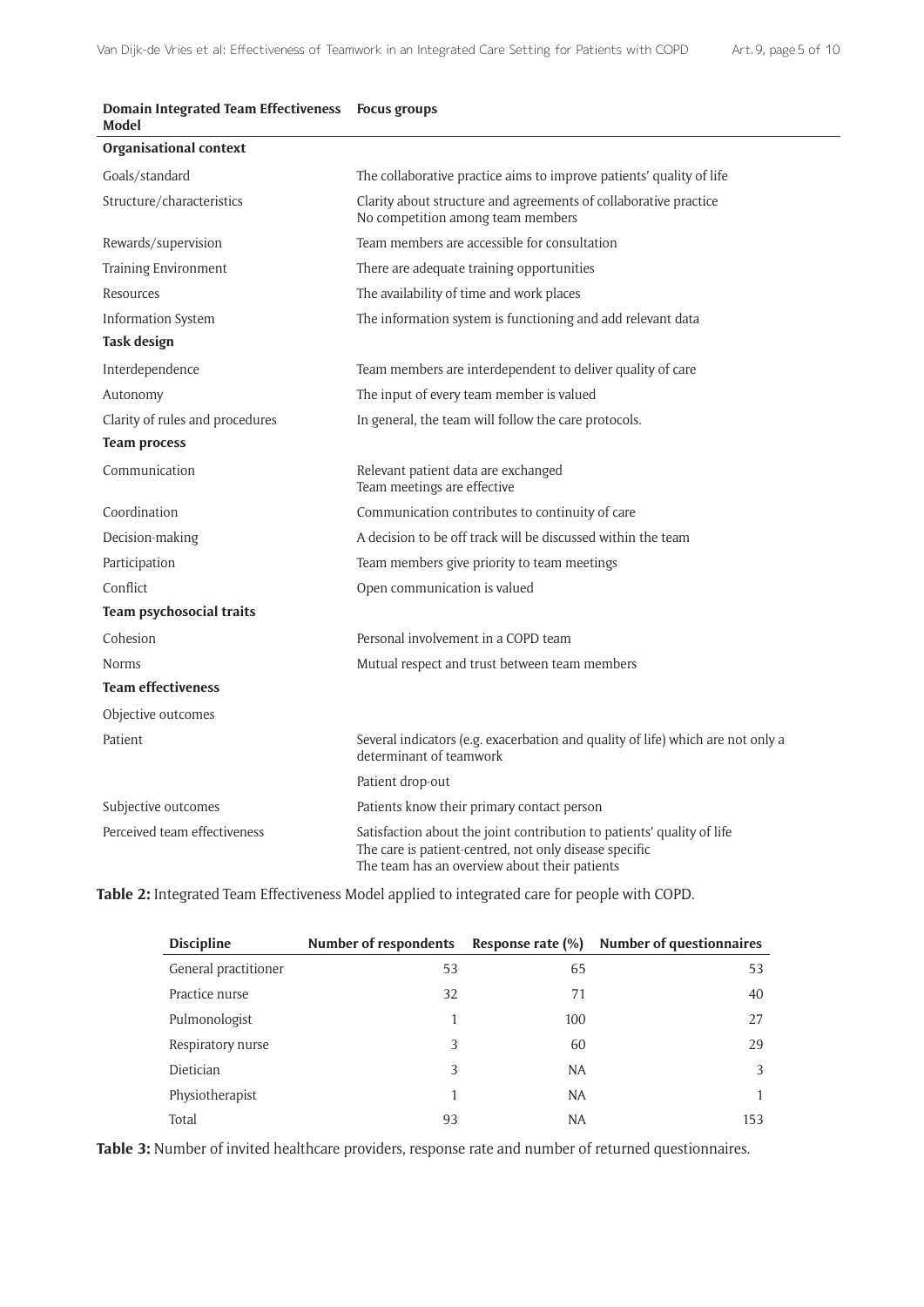| Domain Integrated Team Effectiveness Focus groups |  |
|---------------------------------------------------|--|
| Model                                             |  |

| <b>Organisational context</b>   |                                                                                                                                                                                   |  |
|---------------------------------|-----------------------------------------------------------------------------------------------------------------------------------------------------------------------------------|--|
| Goals/standard                  | The collaborative practice aims to improve patients' quality of life                                                                                                              |  |
| Structure/characteristics       | Clarity about structure and agreements of collaborative practice<br>No competition among team members                                                                             |  |
| Rewards/supervision             | Team members are accessible for consultation                                                                                                                                      |  |
| <b>Training Environment</b>     | There are adequate training opportunities                                                                                                                                         |  |
| Resources                       | The availability of time and work places                                                                                                                                          |  |
| <b>Information System</b>       | The information system is functioning and add relevant data                                                                                                                       |  |
| <b>Task design</b>              |                                                                                                                                                                                   |  |
| Interdependence                 | Team members are interdependent to deliver quality of care                                                                                                                        |  |
| Autonomy                        | The input of every team member is valued                                                                                                                                          |  |
| Clarity of rules and procedures | In general, the team will follow the care protocols.                                                                                                                              |  |
| <b>Team process</b>             |                                                                                                                                                                                   |  |
| Communication                   | Relevant patient data are exchanged<br>Team meetings are effective                                                                                                                |  |
| Coordination                    | Communication contributes to continuity of care                                                                                                                                   |  |
| Decision-making                 | A decision to be off track will be discussed within the team                                                                                                                      |  |
| Participation                   | Team members give priority to team meetings                                                                                                                                       |  |
| Conflict                        | Open communication is valued                                                                                                                                                      |  |
| Team psychosocial traits        |                                                                                                                                                                                   |  |
| Cohesion                        | Personal involvement in a COPD team                                                                                                                                               |  |
| <b>Norms</b>                    | Mutual respect and trust between team members                                                                                                                                     |  |
| <b>Team effectiveness</b>       |                                                                                                                                                                                   |  |
| Objective outcomes              |                                                                                                                                                                                   |  |
| Patient                         | Several indicators (e.g. exacerbation and quality of life) which are not only a<br>determinant of teamwork                                                                        |  |
|                                 | Patient drop-out                                                                                                                                                                  |  |
| Subjective outcomes             | Patients know their primary contact person                                                                                                                                        |  |
| Perceived team effectiveness    | Satisfaction about the joint contribution to patients' quality of life<br>The care is patient-centred, not only disease specific<br>The team has an overview about their patients |  |

**Table 2:** Integrated Team Effectiveness Model applied to integrated care for people with COPD.

| <b>Discipline</b>    | Number of respondents Response rate (%) |           | <b>Number of questionnaires</b> |
|----------------------|-----------------------------------------|-----------|---------------------------------|
| General practitioner | 53                                      | 65        | 53                              |
| Practice nurse       | 32                                      | 71        | 40                              |
| Pulmonologist        |                                         | 100       | 27                              |
| Respiratory nurse    | 3                                       | 60        | 29                              |
| Dietician            | 3                                       | <b>NA</b> | 3                               |
| Physiotherapist      | 1                                       | <b>NA</b> |                                 |
| Total                | 93                                      | NА        | 153                             |

**Table 3:** Number of invited healthcare providers, response rate and number of returned questionnaires.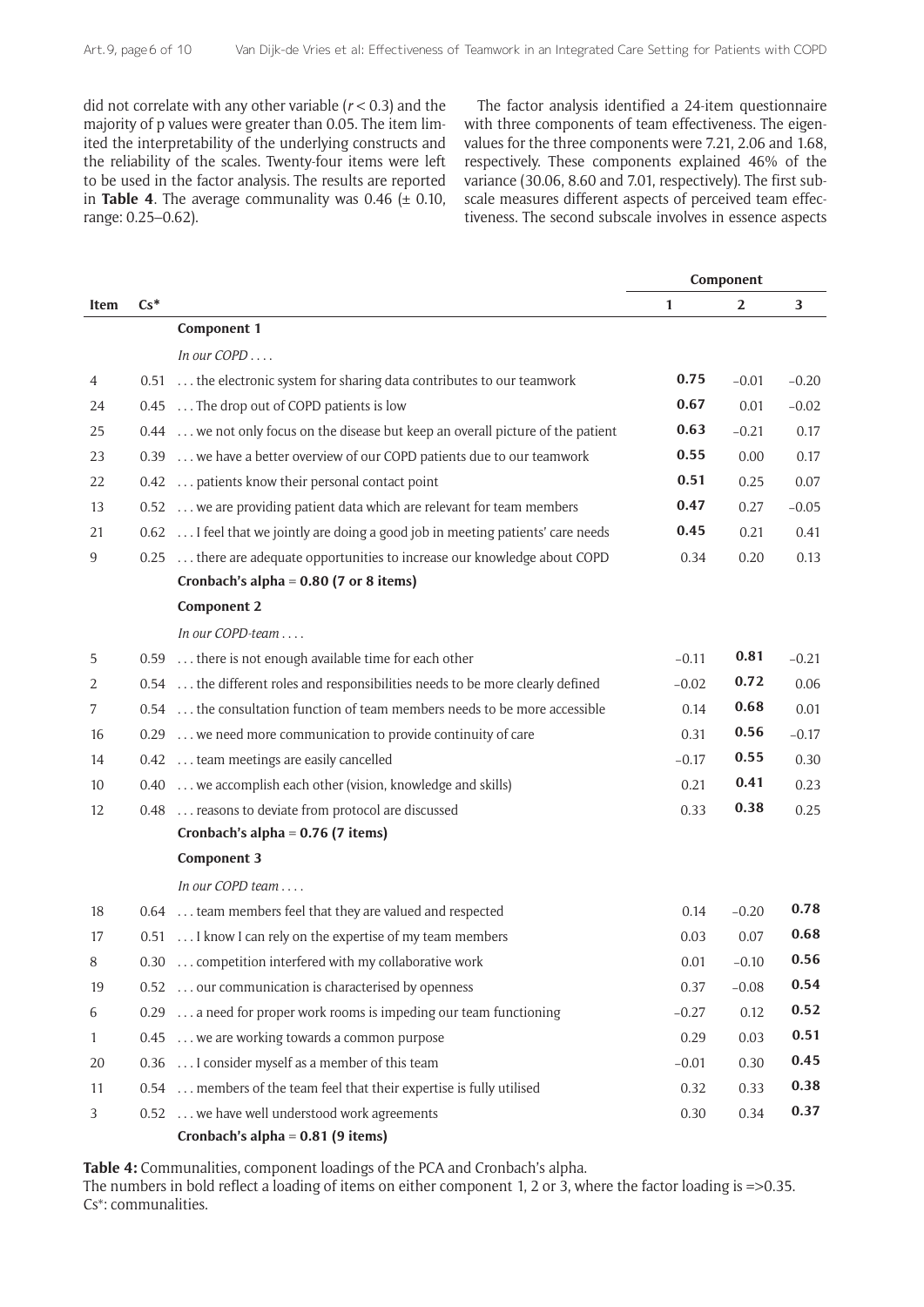did not correlate with any other variable (*r* < 0.3) and the majority of p values were greater than 0.05. The item limited the interpretability of the underlying constructs and the reliability of the scales. Twenty-four items were left to be used in the factor analysis. The results are reported in **Table 4**. The average communality was  $0.46$  ( $\pm$  0.10, range: 0.25–0.62).

The factor analysis identified a 24-item questionnaire with three components of team effectiveness. The eigenvalues for the three components were 7.21, 2.06 and 1.68, respectively. These components explained 46% of the variance (30.06, 8.60 and 7.01, respectively). The first subscale measures different aspects of perceived team effectiveness. The second subscale involves in essence aspects

|      |       |                                                                                   | Component |                |         |
|------|-------|-----------------------------------------------------------------------------------|-----------|----------------|---------|
| Item | $Cs*$ |                                                                                   | 1         | $\overline{2}$ | 3       |
|      |       | Component 1                                                                       |           |                |         |
|      |       | In our COPD                                                                       |           |                |         |
| 4    |       | 0.51  the electronic system for sharing data contributes to our teamwork          | 0.75      | $-0.01$        | $-0.20$ |
| 24   |       | 0.45  The drop out of COPD patients is low                                        | 0.67      | 0.01           | $-0.02$ |
| 25   |       | 0.44  we not only focus on the disease but keep an overall picture of the patient | 0.63      | $-0.21$        | 0.17    |
| 23   |       | 0.39  we have a better overview of our COPD patients due to our teamwork          | 0.55      | 0.00           | 0.17    |
| 22   |       | 0.42  patients know their personal contact point                                  | 0.51      | 0.25           | 0.07    |
| 13   |       | 0.52  we are providing patient data which are relevant for team members           | 0.47      | 0.27           | $-0.05$ |
| 21   |       | 0.62  I feel that we jointly are doing a good job in meeting patients' care needs | 0.45      | 0.21           | 0.41    |
| 9    |       | 0.25  there are adequate opportunities to increase our knowledge about COPD       | 0.34      | 0.20           | 0.13    |
|      |       | Cronbach's alpha = $0.80$ (7 or 8 items)                                          |           |                |         |
|      |       | <b>Component 2</b>                                                                |           |                |         |
|      |       | In our COPD-team                                                                  |           |                |         |
| 5    |       | 0.59  there is not enough available time for each other                           | $-0.11$   | 0.81           | $-0.21$ |
| 2    |       | 0.54  the different roles and responsibilities needs to be more clearly defined   | $-0.02$   | 0.72           | 0.06    |
| 7    |       | 0.54  the consultation function of team members needs to be more accessible       | 0.14      | 0.68           | 0.01    |
| 16   |       | 0.29  we need more communication to provide continuity of care                    | 0.31      | 0.56           | $-0.17$ |
| 14   |       | 0.42  team meetings are easily cancelled                                          | $-0.17$   | 0.55           | 0.30    |
| 10   |       | 0.40  we accomplish each other (vision, knowledge and skills)                     | 0.21      | 0.41           | 0.23    |
| 12   | 0.48  | reasons to deviate from protocol are discussed                                    | 0.33      | 0.38           | 0.25    |
|      |       | Cronbach's alpha = 0.76 (7 items)                                                 |           |                |         |
|      |       | Component 3                                                                       |           |                |         |
|      |       | In our COPD team                                                                  |           |                |         |
| 18   |       | 0.64  team members feel that they are valued and respected                        | 0.14      | $-0.20$        | 0.78    |
| 17   |       | 0.51  I know I can rely on the expertise of my team members                       | 0.03      | 0.07           | 0.68    |
| 8    |       | 0.30  competition interfered with my collaborative work                           | 0.01      | $-0.10$        | 0.56    |
| 19   |       | 0.52  our communication is characterised by openness                              | 0.37      | $-0.08$        | 0.54    |
| 6    |       | 0.29  a need for proper work rooms is impeding our team functioning               | $-0.27$   | 0.12           | 0.52    |
| 1    |       | 0.45 we are working towards a common purpose                                      | 0.29      | 0.03           | 0.51    |
| 20   | 0.36  | I consider myself as a member of this team                                        | $-0.01$   | 0.30           | 0.45    |
| 11   |       | 0.54  members of the team feel that their expertise is fully utilised             | 0.32      | 0.33           | 0.38    |
| 3    |       | 0.52  we have well understood work agreements                                     | 0.30      | 0.34           | 0.37    |
|      |       | Cronbach's alpha = $0.81$ (9 items)                                               |           |                |         |

**Table 4:** Communalities, component loadings of the PCA and Cronbach's alpha.

The numbers in bold reflect a loading of items on either component 1, 2 or 3, where the factor loading is =>0.35. Cs\*: communalities.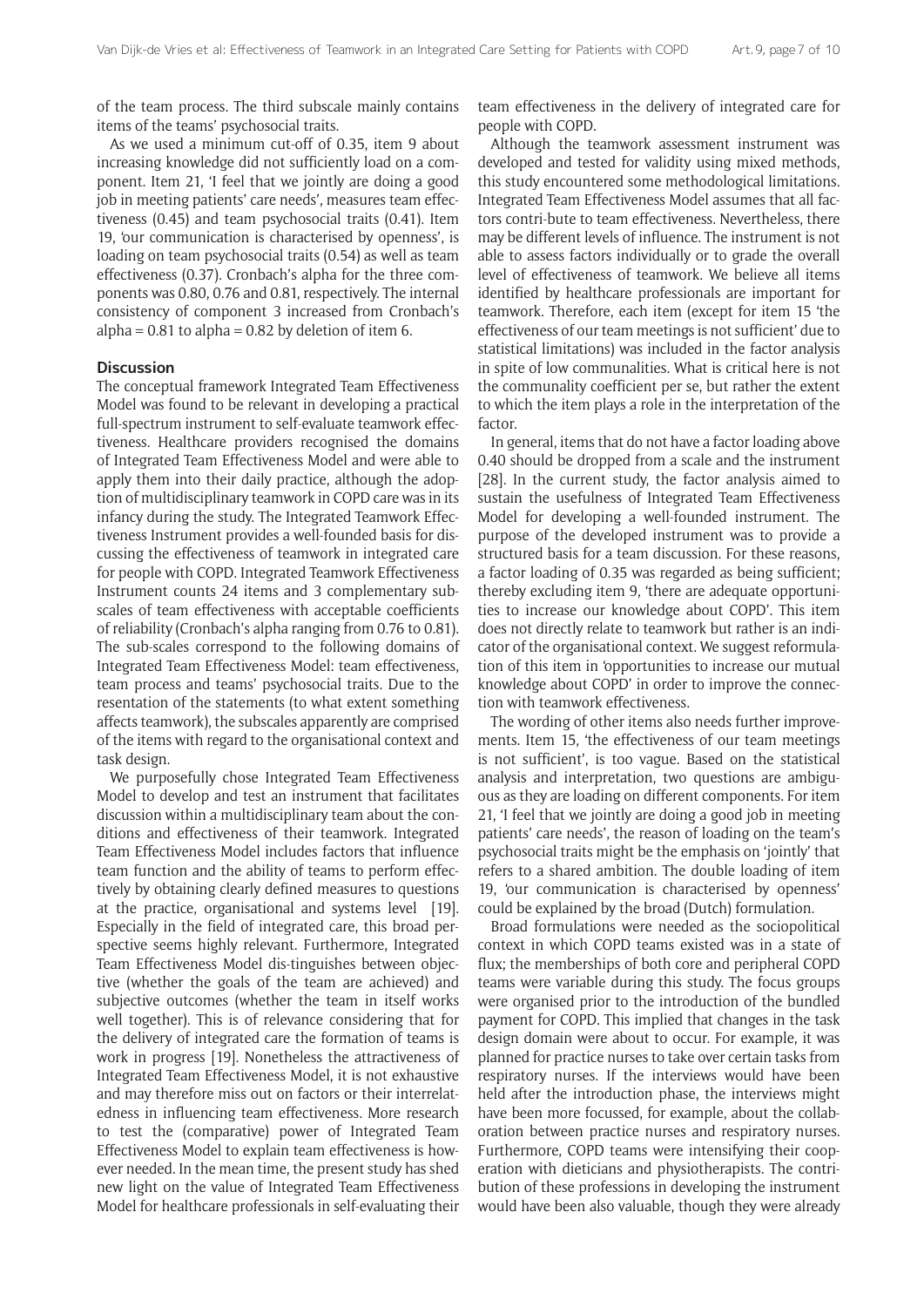of the team process. The third subscale mainly contains items of the teams' psychosocial traits.

As we used a minimum cut-off of 0.35, item 9 about increasing knowledge did not sufficiently load on a component. Item 21, 'I feel that we jointly are doing a good job in meeting patients' care needs', measures team effectiveness (0.45) and team psychosocial traits (0.41). Item 19, 'our communication is characterised by openness', is loading on team psychosocial traits (0.54) as well as team effectiveness (0.37). Cronbach's alpha for the three components was 0.80, 0.76 and 0.81, respectively. The internal consistency of component 3 increased from Cronbach's alpha =  $0.81$  to alpha =  $0.82$  by deletion of item 6.

## **Discussion**

The conceptual framework Integrated Team Effectiveness Model was found to be relevant in developing a practical full-spectrum instrument to self-evaluate teamwork effectiveness. Healthcare providers recognised the domains of Integrated Team Effectiveness Model and were able to apply them into their daily practice, although the adoption of multidisciplinary teamwork in COPD care was in its infancy during the study. The Integrated Teamwork Effectiveness Instrument provides a well-founded basis for discussing the effectiveness of teamwork in integrated care for people with COPD. Integrated Teamwork Effectiveness Instrument counts 24 items and 3 complementary subscales of team effectiveness with acceptable coefficients of reliability (Cronbach's alpha ranging from 0.76 to 0.81). The sub-scales correspond to the following domains of Integrated Team Effectiveness Model: team effectiveness, team process and teams' psychosocial traits. Due to the resentation of the statements (to what extent something affects teamwork), the subscales apparently are comprised of the items with regard to the organisational context and task design.

We purposefully chose Integrated Team Effectiveness Model to develop and test an instrument that facilitates discussion within a multidisciplinary team about the conditions and effectiveness of their teamwork. Integrated Team Effectiveness Model includes factors that influence team function and the ability of teams to perform effectively by obtaining clearly defined measures to questions at the practice, organisational and systems level [19]. Especially in the field of integrated care, this broad perspective seems highly relevant. Furthermore, Integrated Team Effectiveness Model dis-tinguishes between objective (whether the goals of the team are achieved) and subjective outcomes (whether the team in itself works well together). This is of relevance considering that for the delivery of integrated care the formation of teams is work in progress [19]. Nonetheless the attractiveness of Integrated Team Effectiveness Model, it is not exhaustive and may therefore miss out on factors or their interrelatedness in influencing team effectiveness. More research to test the (comparative) power of Integrated Team Effectiveness Model to explain team effectiveness is however needed. In the mean time, the present study has shed new light on the value of Integrated Team Effectiveness Model for healthcare professionals in self-evaluating their

team effectiveness in the delivery of integrated care for people with COPD.

Although the teamwork assessment instrument was developed and tested for validity using mixed methods, this study encountered some methodological limitations. Integrated Team Effectiveness Model assumes that all factors contri-bute to team effectiveness. Nevertheless, there may be different levels of influence. The instrument is not able to assess factors individually or to grade the overall level of effectiveness of teamwork. We believe all items identified by healthcare professionals are important for teamwork. Therefore, each item (except for item 15 'the effectiveness of our team meetings is not sufficient' due to statistical limitations) was included in the factor analysis in spite of low communalities. What is critical here is not the communality coefficient per se, but rather the extent to which the item plays a role in the interpretation of the factor.

In general, items that do not have a factor loading above 0.40 should be dropped from a scale and the instrument [28]. In the current study, the factor analysis aimed to sustain the usefulness of Integrated Team Effectiveness Model for developing a well-founded instrument. The purpose of the developed instrument was to provide a structured basis for a team discussion. For these reasons, a factor loading of 0.35 was regarded as being sufficient; thereby excluding item 9, 'there are adequate opportunities to increase our knowledge about COPD'. This item does not directly relate to teamwork but rather is an indicator of the organisational context. We suggest reformulation of this item in 'opportunities to increase our mutual knowledge about COPD' in order to improve the connection with teamwork effectiveness.

The wording of other items also needs further improvements. Item 15, 'the effectiveness of our team meetings is not sufficient', is too vague. Based on the statistical analysis and interpretation, two questions are ambiguous as they are loading on different components. For item 21, 'I feel that we jointly are doing a good job in meeting patients' care needs', the reason of loading on the team's psychosocial traits might be the emphasis on 'jointly' that refers to a shared ambition. The double loading of item 19, 'our communication is characterised by openness' could be explained by the broad (Dutch) formulation.

Broad formulations were needed as the sociopolitical context in which COPD teams existed was in a state of flux; the memberships of both core and peripheral COPD teams were variable during this study. The focus groups were organised prior to the introduction of the bundled payment for COPD. This implied that changes in the task design domain were about to occur. For example, it was planned for practice nurses to take over certain tasks from respiratory nurses. If the interviews would have been held after the introduction phase, the interviews might have been more focussed, for example, about the collaboration between practice nurses and respiratory nurses. Furthermore, COPD teams were intensifying their cooperation with dieticians and physiotherapists. The contribution of these professions in developing the instrument would have been also valuable, though they were already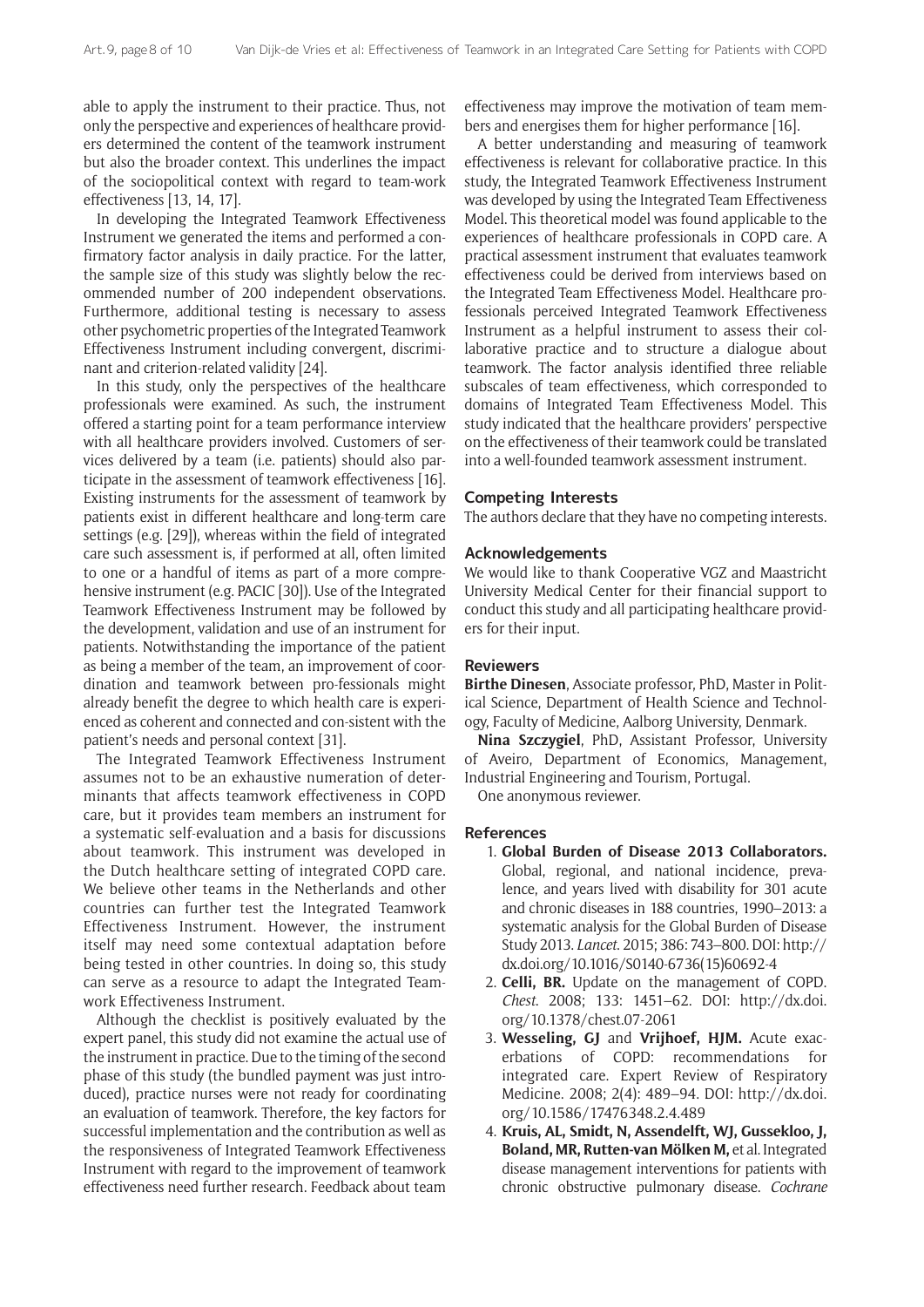able to apply the instrument to their practice. Thus, not only the perspective and experiences of healthcare providers determined the content of the teamwork instrument but also the broader context. This underlines the impact of the sociopolitical context with regard to team-work effectiveness [13, 14, 17].

In developing the Integrated Teamwork Effectiveness Instrument we generated the items and performed a confirmatory factor analysis in daily practice. For the latter, the sample size of this study was slightly below the recommended number of 200 independent observations. Furthermore, additional testing is necessary to assess other psychometric properties of the Integrated Teamwork Effectiveness Instrument including convergent, discriminant and criterion-related validity [24].

In this study, only the perspectives of the healthcare professionals were examined. As such, the instrument offered a starting point for a team performance interview with all healthcare providers involved. Customers of services delivered by a team (i.e. patients) should also participate in the assessment of teamwork effectiveness [16]. Existing instruments for the assessment of teamwork by patients exist in different healthcare and long-term care settings (e.g. [29]), whereas within the field of integrated care such assessment is, if performed at all, often limited to one or a handful of items as part of a more comprehensive instrument (e.g. PACIC [30]). Use of the Integrated Teamwork Effectiveness Instrument may be followed by the development, validation and use of an instrument for patients. Notwithstanding the importance of the patient as being a member of the team, an improvement of coordination and teamwork between pro-fessionals might already benefit the degree to which health care is experienced as coherent and connected and con-sistent with the patient's needs and personal context [31].

The Integrated Teamwork Effectiveness Instrument assumes not to be an exhaustive numeration of determinants that affects teamwork effectiveness in COPD care, but it provides team members an instrument for a systematic self-evaluation and a basis for discussions about teamwork. This instrument was developed in the Dutch healthcare setting of integrated COPD care. We believe other teams in the Netherlands and other countries can further test the Integrated Teamwork Effectiveness Instrument. However, the instrument itself may need some contextual adaptation before being tested in other countries. In doing so, this study can serve as a resource to adapt the Integrated Teamwork Effectiveness Instrument.

Although the checklist is positively evaluated by the expert panel, this study did not examine the actual use of the instrument in practice. Due to the timing of the second phase of this study (the bundled payment was just introduced), practice nurses were not ready for coordinating an evaluation of teamwork. Therefore, the key factors for successful implementation and the contribution as well as the responsiveness of Integrated Teamwork Effectiveness Instrument with regard to the improvement of teamwork effectiveness need further research. Feedback about team

effectiveness may improve the motivation of team members and energises them for higher performance [16].

A better understanding and measuring of teamwork effectiveness is relevant for collaborative practice. In this study, the Integrated Teamwork Effectiveness Instrument was developed by using the Integrated Team Effectiveness Model. This theoretical model was found applicable to the experiences of healthcare professionals in COPD care. A practical assessment instrument that evaluates teamwork effectiveness could be derived from interviews based on the Integrated Team Effectiveness Model. Healthcare professionals perceived Integrated Teamwork Effectiveness Instrument as a helpful instrument to assess their collaborative practice and to structure a dialogue about teamwork. The factor analysis identified three reliable subscales of team effectiveness, which corresponded to domains of Integrated Team Effectiveness Model. This study indicated that the healthcare providers' perspective on the effectiveness of their teamwork could be translated into a well-founded teamwork assessment instrument.

## **Competing Interests**

The authors declare that they have no competing interests.

## **Acknowledgements**

We would like to thank Cooperative VGZ and Maastricht University Medical Center for their financial support to conduct this study and all participating healthcare providers for their input.

## **Reviewers**

**Birthe Dinesen**, Associate professor, PhD, Master in Political Science, Department of Health Science and Technology, Faculty of Medicine, Aalborg University, Denmark.

**Nina Szczygiel**, PhD, Assistant Professor, University of Aveiro, Department of Economics, Management, Industrial Engineering and Tourism, Portugal.

One anonymous reviewer.

#### **References**

- 1. **Global Burden of Disease 2013 Collaborators.** Global, regional, and national incidence, prevalence, and years lived with disability for 301 acute and chronic diseases in 188 countries, 1990–2013: a systematic analysis for the Global Burden of Disease Study 2013. *Lancet*. 2015; 386: 743–800. DOI: [http://](http://dx.doi.org/10.1016/S0140-6736(15)60692-4) [dx.doi.org/10.1016/S0140-6736\(15\)60692-4](http://dx.doi.org/10.1016/S0140-6736(15)60692-4)
- 2. **Celli, BR.** Update on the management of COPD. *Chest*. 2008; 133: 1451–62. DOI: [http://dx.doi.](http://dx.doi.org/10.1378/chest.07-2061) [org/10.1378/chest.07-2061](http://dx.doi.org/10.1378/chest.07-2061)
- 3. **Wesseling, GJ** and **Vrijhoef, HJM.** Acute exacerbations of COPD: recommendations for integrated care. Expert Review of Respiratory Medicine. 2008; 2(4): 489–94. DOI: [http://dx.doi.](http://dx.doi.org/10.1586/17476348.2.4.489) [org/10.1586/17476348.2.4.489](http://dx.doi.org/10.1586/17476348.2.4.489)
- 4. **Kruis, AL, Smidt, N, Assendelft, WJ, Gussekloo, J, Boland, MR, Rutten-van Mölken M,** et al. Integrated disease management interventions for patients with chronic obstructive pulmonary disease. *Cochrane*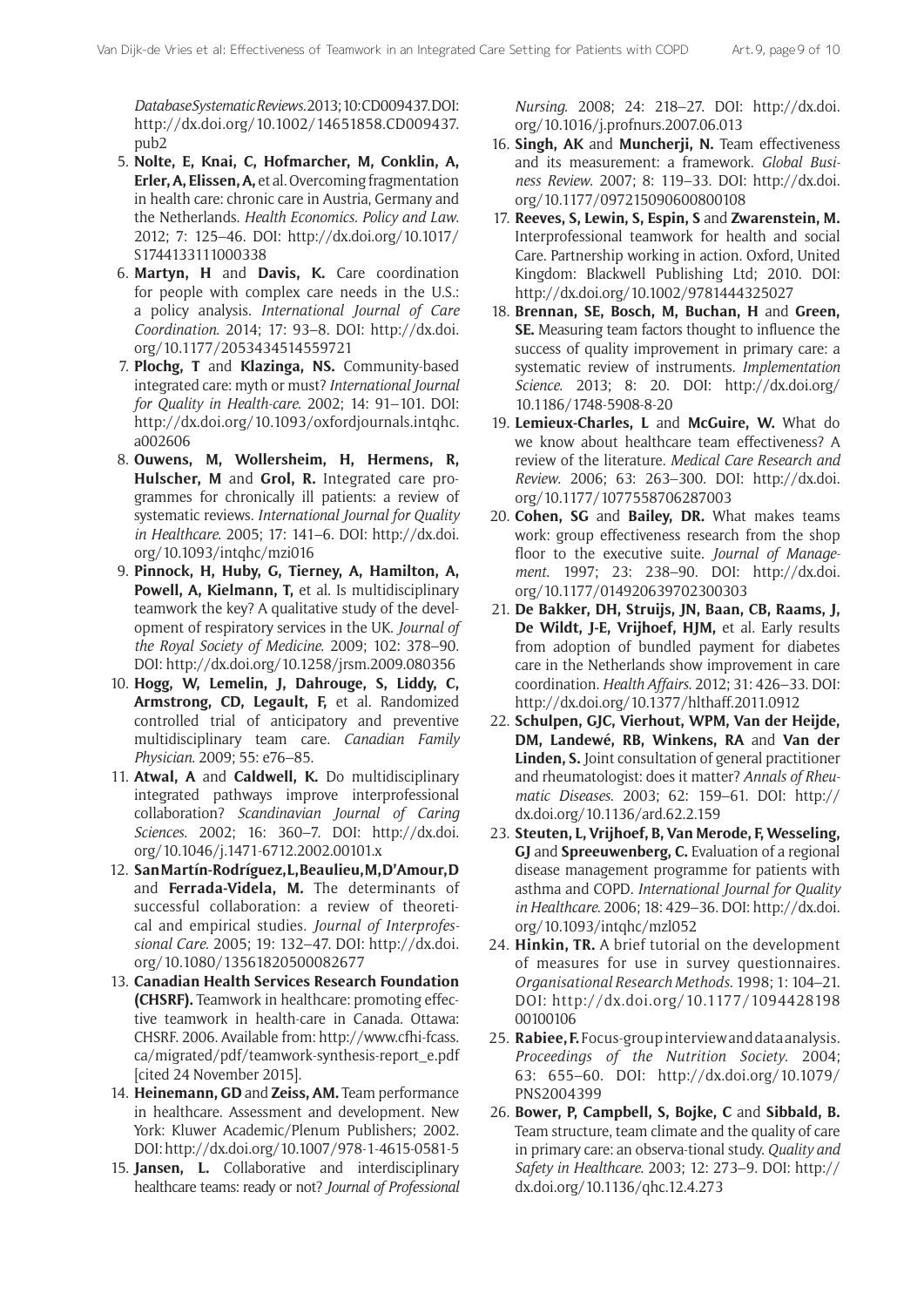*Database Systematic Reviews*. 2013; 10: CD009437. DOI: [http://dx.doi.org/10.1002/14651858.CD009437.](http://dx.doi.org/10.1002/14651858.CD009437.pub2) [pub2](http://dx.doi.org/10.1002/14651858.CD009437.pub2)

- 5. **Nolte, E, Knai, C, Hofmarcher, M, Conklin, A, Erler, A, Elissen, A,** et al. Overcoming fragmentation in health care: chronic care in Austria, Germany and the Netherlands. *Health Economics. Policy and Law*. 2012; 7: 125–46. DOI: [http://dx.doi.org/10.1017/](http://dx.doi.org/10.1017/S1744133111000338) [S1744133111000338](http://dx.doi.org/10.1017/S1744133111000338)
- 6. **Martyn, H** and **Davis, K.** Care coordination for people with complex care needs in the U.S.: a policy analysis. *International Journal of Care Coordination*. 2014; 17: 93–8. DOI: [http://dx.doi.](http://dx.doi.org/10.1177/2053434514559721) [org/10.1177/2053434514559721](http://dx.doi.org/10.1177/2053434514559721)
- 7. **Plochg, T** and **Klazinga, NS.** Community-based integrated care: myth or must? *International Journal for Quality in Health-care*. 2002; 14: 91–101. DOI: [http://dx.doi.org/10.1093/oxfordjournals.intqhc.](http://dx.doi.org/10.1093/oxfordjournals.intqhc.a002606) [a002606](http://dx.doi.org/10.1093/oxfordjournals.intqhc.a002606)
- 8. **Ouwens, M, Wollersheim, H, Hermens, R, Hulscher, M** and **Grol, R.** Integrated care programmes for chronically ill patients: a review of systematic reviews. *International Journal for Quality in Healthcare*. 2005; 17: 141–6. DOI: [http://dx.doi.](http://dx.doi.org/10.1093/intqhc/mzi016) [org/10.1093/intqhc/mzi016](http://dx.doi.org/10.1093/intqhc/mzi016)
- 9. **Pinnock, H, Huby, G, Tierney, A, Hamilton, A, Powell, A, Kielmann, T,** et al. Is multidisciplinary teamwork the key? A qualitative study of the development of respiratory services in the UK. *Journal of the Royal Society of Medicine*. 2009; 102: 378–90. DOI:<http://dx.doi.org/10.1258/jrsm.2009.080356>
- 10. **Hogg, W, Lemelin, J, Dahrouge, S, Liddy, C, Armstrong, CD, Legault, F,** et al. Randomized controlled trial of anticipatory and preventive multidisciplinary team care. *Canadian Family Physician*. 2009; 55: e76–85.
- 11. **Atwal, A** and **Caldwell, K.** Do multidisciplinary integrated pathways improve interprofessional collaboration? *Scandinavian Journal of Caring Sciences*. 2002; 16: 360–7. DOI: [http://dx.doi.](http://dx.doi.org/10.1046/j.1471-6712.2002.00101.x) [org/10.1046/j.1471-6712.2002.00101.x](http://dx.doi.org/10.1046/j.1471-6712.2002.00101.x)
- 12. **San Martín-Rodríguez, L, Beaulieu, M, D'Amour, D** and **Ferrada-Videla, M.** The determinants of successful collaboration: a review of theoretical and empirical studies. *Journal of Interprofessional Care*. 2005; 19: 132–47. DOI: [http://dx.doi.](http://dx.doi.org/10.1080/13561820500082677) [org/10.1080/13561820500082677](http://dx.doi.org/10.1080/13561820500082677)
- 13. **Canadian Health Services Research Foundation (CHSRF).** Teamwork in healthcare: promoting effective teamwork in health-care in Canada. Ottawa: CHSRF. 2006. Available from: [http://www.cfhi-fcass.](http://www.cfhi-fcass.ca/migrated/pdf/teamwork-synthesis-report_e.pdf) [ca/migrated/pdf/teamwork-synthesis-report\\_e.pdf](http://www.cfhi-fcass.ca/migrated/pdf/teamwork-synthesis-report_e.pdf)  [cited 24 November 2015].
- 14. **Heinemann, GD** and **Zeiss, AM.** Team performance in healthcare. Assessment and development. New York: Kluwer Academic/Plenum Publishers; 2002. DOI:<http://dx.doi.org/10.1007/978-1-4615-0581-5>
- 15. **Jansen, L.** Collaborative and interdisciplinary healthcare teams: ready or not? *Journal of Professional*

*Nursing*. 2008; 24: 218–27. DOI: [http://dx.doi.](http://dx.doi.org/10.1016/j.profnurs.2007.06.013) [org/10.1016/j.profnurs.2007.06.013](http://dx.doi.org/10.1016/j.profnurs.2007.06.013)

- 16. **Singh, AK** and **Muncherji, N.** Team effectiveness and its measurement: a framework. *Global Business Review*. 2007; 8: 119–33. DOI: [http://dx.doi.](http://dx.doi.org/10.1177/097215090600800108) [org/10.1177/097215090600800108](http://dx.doi.org/10.1177/097215090600800108)
- 17. **Reeves, S, Lewin, S, Espin, S** and **Zwarenstein, M.** Interprofessional teamwork for health and social Care. Partnership working in action. Oxford, United Kingdom: Blackwell Publishing Ltd; 2010. DOI: <http://dx.doi.org/10.1002/9781444325027>
- 18. **Brennan, SE, Bosch, M, Buchan, H** and **Green, SE.** Measuring team factors thought to influence the success of quality improvement in primary care: a systematic review of instruments. *Implementation Science*. 2013; 8: 20. DOI: [http://dx.doi.org/](http://dx.doi.org/10.1186/1748-5908-8-20) [10.1186/1748-5908-8-20](http://dx.doi.org/10.1186/1748-5908-8-20)
- 19. **Lemieux-Charles, L** and **McGuire, W.** What do we know about healthcare team effectiveness? A review of the literature. *Medical Care Research and Review*. 2006; 63: 263–300. DOI: [http://dx.doi.](http://dx.doi.org/10.1177/1077558706287003) [org/10.1177/1077558706287003](http://dx.doi.org/10.1177/1077558706287003)
- 20. **Cohen, SG** and **Bailey, DR.** What makes teams work: group effectiveness research from the shop floor to the executive suite. *Journal of Management*. 1997; 23: 238–90. DOI: [http://dx.doi.](http://dx.doi.org/10.1177/014920639702300303) [org/10.1177/014920639702300303](http://dx.doi.org/10.1177/014920639702300303)
- 21. **De Bakker, DH, Struijs, JN, Baan, CB, Raams, J, De Wildt, J-E, Vrijhoef, HJM,** et al. Early results from adoption of bundled payment for diabetes care in the Netherlands show improvement in care coordination. *Health Affairs*. 2012; 31: 426–33. DOI: <http://dx.doi.org/10.1377/hlthaff.2011.0912>
- 22. **Schulpen, GJC, Vierhout, WPM, Van der Heijde, DM, Landewé, RB, Winkens, RA** and **Van der Linden, S.** Joint consultation of general practitioner and rheumatologist: does it matter? *Annals of Rheumatic Diseases*. 2003; 62: 159–61. DOI: [http://](http://dx.doi.org/10.1136/ard.62.2.159) [dx.doi.org/10.1136/ard.62.2.159](http://dx.doi.org/10.1136/ard.62.2.159)
- 23. **Steuten, L, Vrijhoef, B, Van Merode, F, Wesseling, GJ** and **Spreeuwenberg, C.** Evaluation of a regional disease management programme for patients with asthma and COPD. *International Journal for Quality in Healthcare*. 2006; 18: 429–36. DOI: [http://dx.doi.](http://dx.doi.org/10.1093/intqhc/mzl052) [org/10.1093/intqhc/mzl052](http://dx.doi.org/10.1093/intqhc/mzl052)
- 24. **Hinkin, TR.** A brief tutorial on the development of measures for use in survey questionnaires. *Organisational Research Methods*. 1998; 1: 104–21. DOI: [http://dx.doi.org/10.1177/1094428198](http://dx.doi.org/10.1177/109442819800100106) [00100106](http://dx.doi.org/10.1177/109442819800100106)
- 25. **Rabiee, F.** Focus-group interview and data analysis. *Proceedings of the Nutrition Society*. 2004; 63: 655–60. DOI: [http://dx.doi.org/10.1079/](http://dx.doi.org/10.1079/PNS2004399) [PNS2004399](http://dx.doi.org/10.1079/PNS2004399)
- 26. **Bower, P, Campbell, S, Bojke, C** and **Sibbald, B.** Team structure, team climate and the quality of care in primary care: an observa-tional study. *Quality and Safety in Healthcare*. 2003; 12: 273–9. DOI: [http://](http://dx.doi.org/10.1136/qhc.12.4.273) [dx.doi.org/10.1136/qhc.12.4.273](http://dx.doi.org/10.1136/qhc.12.4.273)